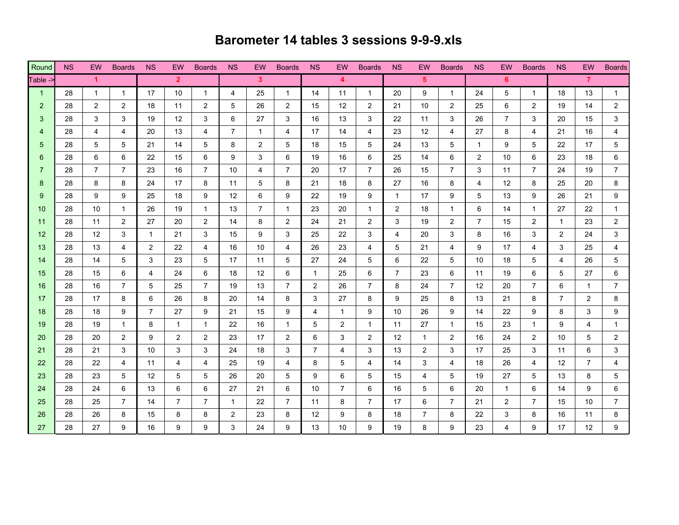## **Barometer 14 tables 3 sessions 9-9-9.xls**

| Round           | <b>NS</b> | EW.                  | <b>Boards</b>  | <b>NS</b>      | EW.            | <b>Boards</b>         | <b>NS</b>      | EW.            | <b>Boards</b>  | NS.            | EW.                     | <b>Boards</b>  | <b>NS</b>      | EW.            | <b>Boards</b>  | <b>NS</b>      | EW.            | <b>Boards</b>  | <b>NS</b>      | <b>EW</b>      | <b>Boards</b>  |
|-----------------|-----------|----------------------|----------------|----------------|----------------|-----------------------|----------------|----------------|----------------|----------------|-------------------------|----------------|----------------|----------------|----------------|----------------|----------------|----------------|----------------|----------------|----------------|
| Table -         |           | $\blacktriangleleft$ |                |                | $\overline{2}$ |                       |                | 3 <sup>1</sup> |                |                | $\overline{\mathbf{4}}$ |                |                | 5 <sup>1</sup> |                |                | 6              |                |                | $\overline{7}$ |                |
| $\overline{1}$  | 28        | $\mathbf{1}$         | $\mathbf 1$    | 17             | 10             | $\mathbf{1}$          | 4              | 25             | $\mathbf{1}$   | 14             | 11                      | $\mathbf{1}$   | 20             | 9              | $\mathbf{1}$   | 24             | 5              | $\overline{1}$ | 18             | 13             | $\mathbf{1}$   |
| $\overline{2}$  | 28        | $\mathbf{2}$         | $\overline{2}$ | 18             | 11             | $\overline{2}$        | 5              | 26             | $\overline{2}$ | 15             | 12                      | $\overline{2}$ | 21             | 10             | $\overline{2}$ | 25             | 6              | $\overline{2}$ | 19             | 14             | $\overline{2}$ |
| 3               | 28        | 3                    | 3              | 19             | 12             | 3                     | 6              | 27             | 3              | 16             | 13                      | 3              | 22             | 11             | 3              | 26             | $\overline{7}$ | 3              | 20             | 15             | 3              |
| $\overline{4}$  | 28        | 4                    | 4              | 20             | 13             | 4                     | $\overline{7}$ | $\mathbf 1$    | 4              | 17             | 14                      | 4              | 23             | 12             | 4              | 27             | 8              | 4              | 21             | 16             | 4              |
| 5               | 28        | 5                    | 5              | 21             | 14             | 5                     | 8              | $\overline{2}$ | 5              | 18             | 15                      | 5              | 24             | 13             | 5              | $\mathbf{1}$   | 9              | 5              | 22             | 17             | 5              |
| 6               | 28        | 6                    | 6              | 22             | 15             | 6                     | 9              | 3              | 6              | 19             | 16                      | 6              | 25             | 14             | 6              | $\overline{2}$ | 10             | 6              | 23             | 18             | 6              |
| 7               | 28        | $\overline{7}$       | $\overline{7}$ | 23             | 16             | $\overline{7}$        | 10             | $\overline{4}$ | $\overline{7}$ | 20             | 17                      | $\overline{7}$ | 26             | 15             | $\overline{7}$ | 3              | 11             | $\overline{7}$ | 24             | 19             | $\overline{7}$ |
| 8               | 28        | 8                    | 8              | 24             | 17             | 8                     | 11             | 5              | 8              | 21             | 18                      | 8              | 27             | 16             | 8              | 4              | 12             | 8              | 25             | 20             | 8              |
| 9               | 28        | 9                    | 9              | 25             | 18             | 9                     | 12             | 6              | 9              | 22             | 19                      | 9              | 1              | 17             | 9              | 5              | 13             | 9              | 26             | 21             | 9              |
| 10 <sup>°</sup> | 28        | 10                   | $\mathbf{1}$   | 26             | 19             | $\mathbf{1}$          | 13             | $\overline{7}$ | $\overline{1}$ | 23             | 20                      | $\mathbf{1}$   | 2              | 18             | $\mathbf{1}$   | 6              | 14             | $\mathbf 1$    | 27             | 22             | 1              |
| 11              | 28        | 11                   | $\overline{2}$ | 27             | 20             | $\overline{2}$        | 14             | 8              | $\overline{2}$ | 24             | 21                      | $\overline{2}$ | 3              | 19             | $\overline{2}$ | $\overline{7}$ | 15             | $\overline{2}$ | $\mathbf{1}$   | 23             | $\mathbf{2}$   |
| 12              | 28        | 12                   | 3              | $\mathbf{1}$   | 21             | 3                     | 15             | 9              | 3              | 25             | 22                      | 3              | 4              | 20             | 3              | 8              | 16             | 3              | $\overline{2}$ | 24             | 3              |
| 13              | 28        | 13                   | 4              | 2              | 22             | 4                     | 16             | 10             | 4              | 26             | 23                      | 4              | 5              | 21             | 4              | 9              | 17             | 4              | 3              | 25             | 4              |
| 14              | 28        | 14                   | 5              | 3              | 23             | 5                     | 17             | 11             | 5              | 27             | 24                      | 5              | 6              | 22             | 5              | 10             | 18             | 5              | 4              | 26             | 5              |
| 15              | 28        | 15                   | 6              | 4              | 24             | 6                     | 18             | 12             | 6              | $\mathbf{1}$   | 25                      | 6              | $\overline{7}$ | 23             | 6              | 11             | 19             | 6              | 5              | 27             | 6              |
| 16              | 28        | 16                   | $7^{\circ}$    | 5              | 25             | $\overline{7}$        | 19             | 13             | $\overline{7}$ | 2              | 26                      | $\overline{7}$ | 8              | 24             | 7              | 12             | 20             | $\overline{7}$ | 6              | 1              | $\overline{7}$ |
| 17              | 28        | 17                   | 8              | 6              | 26             | 8                     | 20             | 14             | 8              | 3              | 27                      | 8              | 9              | 25             | 8              | 13             | 21             | 8              | $\overline{7}$ | 2              | 8              |
| 18              | 28        | 18                   | 9              | $\overline{7}$ | 27             | 9                     | 21             | 15             | 9              | 4              | 1                       | 9              | 10             | 26             | 9              | 14             | 22             | 9              | 8              | 3              | 9              |
| 19              | 28        | 19                   | $\mathbf{1}$   | 8              | $\mathbf{1}$   | $\mathbf{1}$          | 22             | 16             | $\mathbf{1}$   | 5              | $\overline{2}$          | $\mathbf{1}$   | 11             | 27             | $\mathbf{1}$   | 15             | 23             | $\mathbf{1}$   | 9              | 4              | $\mathbf{1}$   |
| 20              | 28        | 20                   | $\overline{2}$ | 9              | $\overline{2}$ | $\mathbf{2}^{\prime}$ | 23             | 17             | $\overline{2}$ | 6              | 3                       | $\overline{2}$ | 12             | $\mathbf{1}$   | $\overline{2}$ | 16             | 24             | $\overline{2}$ | 10             | 5              | $\overline{2}$ |
| 21              | 28        | 21                   | 3              | 10             | 3              | 3                     | 24             | 18             | 3              | $\overline{7}$ | 4                       | 3              | 13             | $\overline{2}$ | 3              | 17             | 25             | 3              | 11             | 6              | 3              |
| 22              | 28        | 22                   | $\overline{4}$ | 11             | 4              | 4                     | 25             | 19             | 4              | 8              | 5                       | $\overline{4}$ | 14             | 3              | 4              | 18             | 26             | 4              | 12             | $\overline{7}$ | 4              |
| 23              | 28        | 23                   | 5              | 12             | 5              | 5                     | 26             | 20             | 5              | 9              | 6                       | 5              | 15             | 4              | 5              | 19             | 27             | 5              | 13             | 8              | 5              |
| 24              | 28        | 24                   | 6              | 13             | 6              | 6                     | 27             | 21             | 6              | 10             | $\overline{7}$          | 6              | 16             | 5              | 6              | 20             | $\mathbf{1}$   | 6              | 14             | 9              | 6              |
| 25              | 28        | 25                   | $7^{\circ}$    | 14             | $\overline{7}$ | $7^{\circ}$           | $\mathbf{1}$   | 22             | $\overline{7}$ | 11             | 8                       | $\overline{7}$ | 17             | 6              | $\overline{7}$ | 21             | $\overline{2}$ | $\overline{7}$ | 15             | 10             | $\overline{7}$ |
| 26              | 28        | 26                   | 8              | 15             | 8              | 8                     | $\overline{2}$ | 23             | 8              | 12             | 9                       | 8              | 18             | $\overline{7}$ | 8              | 22             | 3              | 8              | 16             | 11             | 8              |
| 27              | 28        | 27                   | 9              | 16             | 9              | 9                     | 3              | 24             | 9              | 13             | 10 <sup>1</sup>         | 9              | 19             | 8              | 9              | 23             | 4              | 9              | 17             | 12             | 9              |